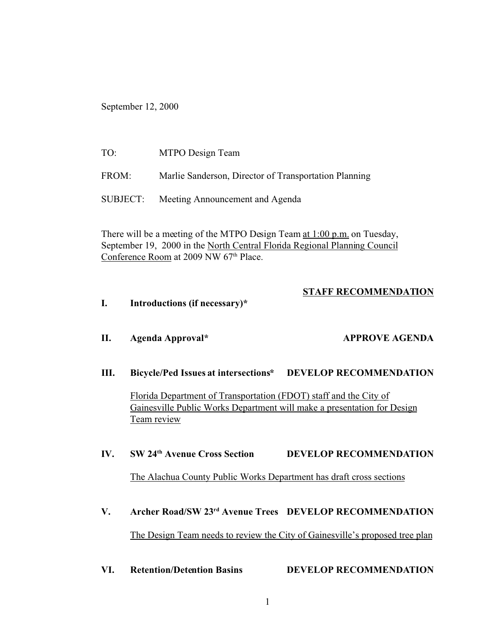September 12, 2000

| TO:      | MTPO Design Team                                      |
|----------|-------------------------------------------------------|
| FROM:    | Marlie Sanderson, Director of Transportation Planning |
| SUBJECT: | Meeting Announcement and Agenda                       |

There will be a meeting of the MTPO Design Team at 1:00 p.m. on Tuesday, September 19, 2000 in the North Central Florida Regional Planning Council Conference Room at 2009 NW 67<sup>th</sup> Place.

### **STAFF RECOMMENDATION**

**I. Introductions (if necessary)\***

**III. Bicycle/Ped Issues at intersections\* DEVELOP RECOMMENDATION**

**II. Agenda Approval\* APPROVE AGENDA**

Florida Department of Transportation (FDOT) staff and the City of Gainesville Public Works Department will make a presentation for Design Team review

#### **IV. SW 24th Avenue Cross Section DEVELOP RECOMMENDATION**

The Alachua County Public Works Department has draft cross sections

## **V. Archer Road/SW 23rd Avenue Trees DEVELOP RECOMMENDATION**

The Design Team needs to review the City of Gainesville's proposed tree plan

**VI. Retention/Detention Basins DEVELOP RECOMMENDATION**